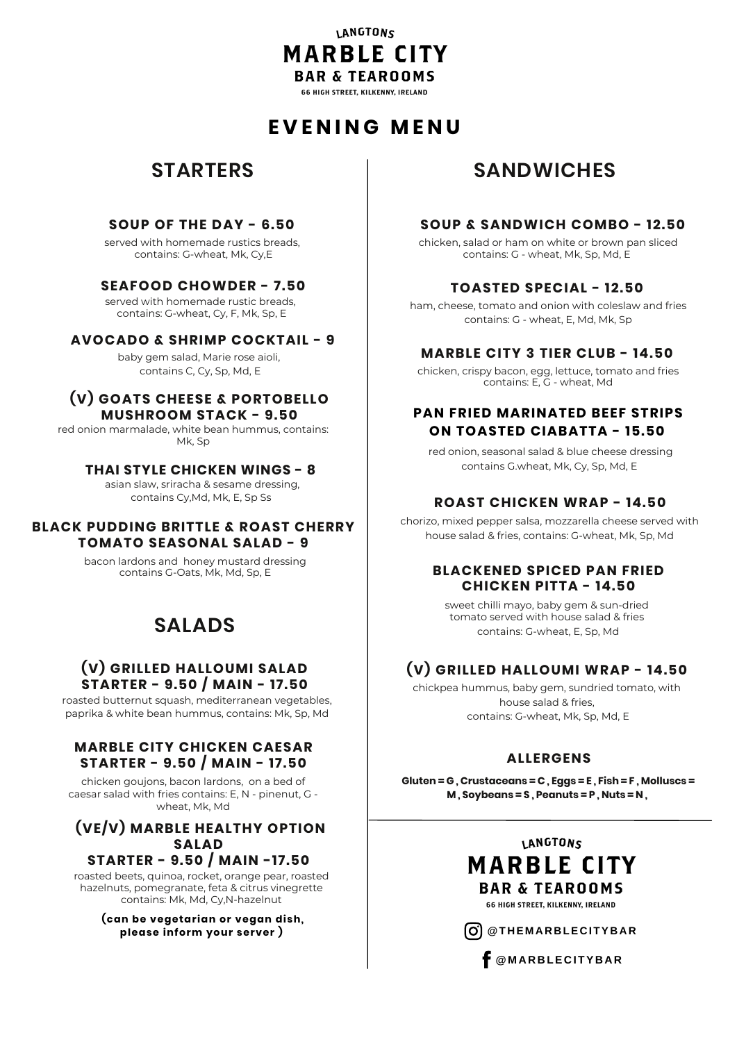## LANGTONS **MARBLE CITY BAR & TEAROOMS**

66 HIGH STREET, KILKENNY, IRELAND

# **E V E N I N G M E N U**

# **STARTERS**

### **SOUP OF THE DAY - 6.50**

served with homemade rustics breads, contains: G-wheat, Mk, Cy,E

## **SEAFOOD CHOWDER - 7.50**

served with homemade rustic breads, contains: G-wheat, Cy, F, Mk, Sp, E

#### **AVOCADO & SHRIMP COCKTAIL - 9**

baby gem salad, Marie rose aioli, contains C, Cy, Sp, Md, E

#### **(V) GOATS CHEESE & PORTOBELLO MUSHROOM STACK - 9.50**

red onion marmalade, white bean hummus, contains: Mk, Sp

#### **THAI STYLE CHICKEN WINGS - 8**

asian slaw, sriracha & sesame dressing, contains Cy,Md, Mk, E, Sp Ss

#### **BLACK PUDDING BRITTLE & ROAST CHERRY TOMATO SEASONAL SALAD - 9**

bacon lardons and honey mustard dressing contains G-Oats, Mk, Md, Sp, E

# **SALADS**

## **(V) GRILLED HALLOUMI SALAD STARTER - 9.50 / MAIN - 17.50**

roasted butternut squash, mediterranean vegetables, paprika & white bean hummus, contains: Mk, Sp, Md

#### **MARBLE CITY CHICKEN CAESAR STARTER - 9.50 / MAIN - 17.50**

chicken goujons, bacon lardons, on a bed of caesar salad with fries contains: E, N - pinenut, G wheat, Mk, Md

#### **(VE/V) MARBLE HEALTHY OPTION SALAD STARTER - 9.50 / MAIN -17.50**

roasted beets, quinoa, rocket, orange pear, roasted hazelnuts, pomegranate, feta & citrus vinegrette contains: Mk, Md, Cy,N-hazelnut

> **(can be vegetarian or vegan dish, please inform your server )**

# **SANDWICHES**

## **SOUP & SANDWICH COMBO - 12.50**

chicken, salad or ham on white or brown pan sliced contains: G - wheat, Mk, Sp, Md, E

#### **TOASTED SPECIAL - 12.50**

ham, cheese, tomato and onion with coleslaw and fries contains: G - wheat, E, Md, Mk, Sp

## **MARBLE CITY 3 TIER CLUB - 14.50**

chicken, crispy bacon, egg, lettuce, tomato and fries contains: E, G - wheat, Md

## **PAN FRIED MARINATED BEEF STRIPS ON TOASTED CIABATTA - 15.50**

red onion, seasonal salad & blue cheese dressing contains G.wheat, Mk, Cy, Sp, Md, E

## **ROAST CHICKEN WRAP - 14.50**

chorizo, mixed pepper salsa, mozzarella cheese served with house salad & fries, contains: G-wheat, Mk, Sp, Md

#### **BLACKENED SPICED PAN FRIED CHICKEN PITTA - 14.50**

sweet chilli mayo, baby gem & sun-dried tomato served with house salad & fries contains: G-wheat, E, Sp, Md

## **(V) GRILLED HALLOUMI WRAP - 14.50**

chickpea hummus, baby gem, sundried tomato, with house salad & fries, contains: G-wheat, Mk, Sp, Md, E

## **ALLERGENS**

**Gluten = G , Crustaceans = C , Eggs = E , Fish = F , Molluscs = M , Soybeans = S , Peanuts = P , Nuts = N ,**



66 HIGH STREET, KILKENNY, IRELAND

 $\begin{bmatrix} 0 \\ 0 \end{bmatrix}$  @THEMARBLECITYBAR

**@M A R B LE C ITY B A R**